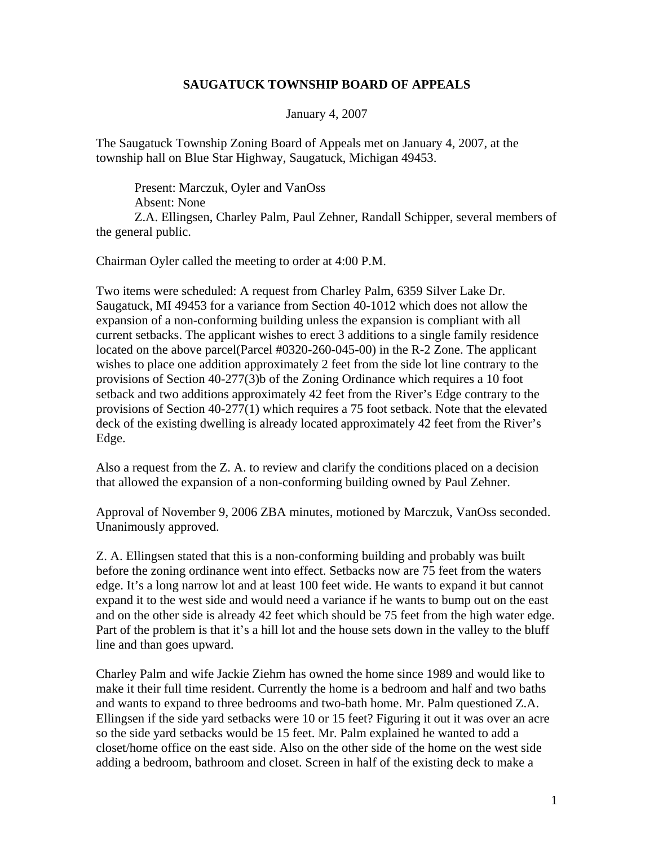## **SAUGATUCK TOWNSHIP BOARD OF APPEALS**

January 4, 2007

The Saugatuck Township Zoning Board of Appeals met on January 4, 2007, at the township hall on Blue Star Highway, Saugatuck, Michigan 49453.

 Present: Marczuk, Oyler and VanOss Absent: None Z.A. Ellingsen, Charley Palm, Paul Zehner, Randall Schipper, several members of the general public.

Chairman Oyler called the meeting to order at 4:00 P.M.

Two items were scheduled: A request from Charley Palm, 6359 Silver Lake Dr. Saugatuck, MI 49453 for a variance from Section 40-1012 which does not allow the expansion of a non-conforming building unless the expansion is compliant with all current setbacks. The applicant wishes to erect 3 additions to a single family residence located on the above parcel(Parcel #0320-260-045-00) in the R-2 Zone. The applicant wishes to place one addition approximately 2 feet from the side lot line contrary to the provisions of Section 40-277(3)b of the Zoning Ordinance which requires a 10 foot setback and two additions approximately 42 feet from the River's Edge contrary to the provisions of Section 40-277(1) which requires a 75 foot setback. Note that the elevated deck of the existing dwelling is already located approximately 42 feet from the River's Edge.

Also a request from the Z. A. to review and clarify the conditions placed on a decision that allowed the expansion of a non-conforming building owned by Paul Zehner.

Approval of November 9, 2006 ZBA minutes, motioned by Marczuk, VanOss seconded. Unanimously approved.

Z. A. Ellingsen stated that this is a non-conforming building and probably was built before the zoning ordinance went into effect. Setbacks now are 75 feet from the waters edge. It's a long narrow lot and at least 100 feet wide. He wants to expand it but cannot expand it to the west side and would need a variance if he wants to bump out on the east and on the other side is already 42 feet which should be 75 feet from the high water edge. Part of the problem is that it's a hill lot and the house sets down in the valley to the bluff line and than goes upward.

Charley Palm and wife Jackie Ziehm has owned the home since 1989 and would like to make it their full time resident. Currently the home is a bedroom and half and two baths and wants to expand to three bedrooms and two-bath home. Mr. Palm questioned Z.A. Ellingsen if the side yard setbacks were 10 or 15 feet? Figuring it out it was over an acre so the side yard setbacks would be 15 feet. Mr. Palm explained he wanted to add a closet/home office on the east side. Also on the other side of the home on the west side adding a bedroom, bathroom and closet. Screen in half of the existing deck to make a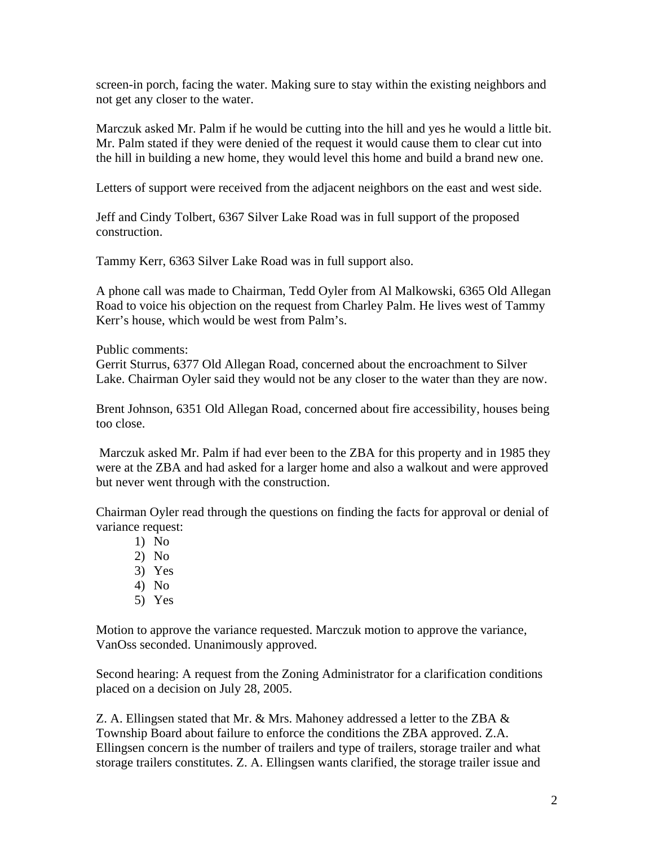screen-in porch, facing the water. Making sure to stay within the existing neighbors and not get any closer to the water.

Marczuk asked Mr. Palm if he would be cutting into the hill and yes he would a little bit. Mr. Palm stated if they were denied of the request it would cause them to clear cut into the hill in building a new home, they would level this home and build a brand new one.

Letters of support were received from the adjacent neighbors on the east and west side.

Jeff and Cindy Tolbert, 6367 Silver Lake Road was in full support of the proposed construction.

Tammy Kerr, 6363 Silver Lake Road was in full support also.

A phone call was made to Chairman, Tedd Oyler from Al Malkowski, 6365 Old Allegan Road to voice his objection on the request from Charley Palm. He lives west of Tammy Kerr's house, which would be west from Palm's.

Public comments:

Gerrit Sturrus, 6377 Old Allegan Road, concerned about the encroachment to Silver Lake. Chairman Oyler said they would not be any closer to the water than they are now.

Brent Johnson, 6351 Old Allegan Road, concerned about fire accessibility, houses being too close.

 Marczuk asked Mr. Palm if had ever been to the ZBA for this property and in 1985 they were at the ZBA and had asked for a larger home and also a walkout and were approved but never went through with the construction.

Chairman Oyler read through the questions on finding the facts for approval or denial of variance request:

- 1) No
- 2) No
- 3) Yes
- 4) No
- 5) Yes

Motion to approve the variance requested. Marczuk motion to approve the variance, VanOss seconded. Unanimously approved.

Second hearing: A request from the Zoning Administrator for a clarification conditions placed on a decision on July 28, 2005.

Z. A. Ellingsen stated that Mr.  $\&$  Mrs. Mahoney addressed a letter to the ZBA  $\&$ Township Board about failure to enforce the conditions the ZBA approved. Z.A. Ellingsen concern is the number of trailers and type of trailers, storage trailer and what storage trailers constitutes. Z. A. Ellingsen wants clarified, the storage trailer issue and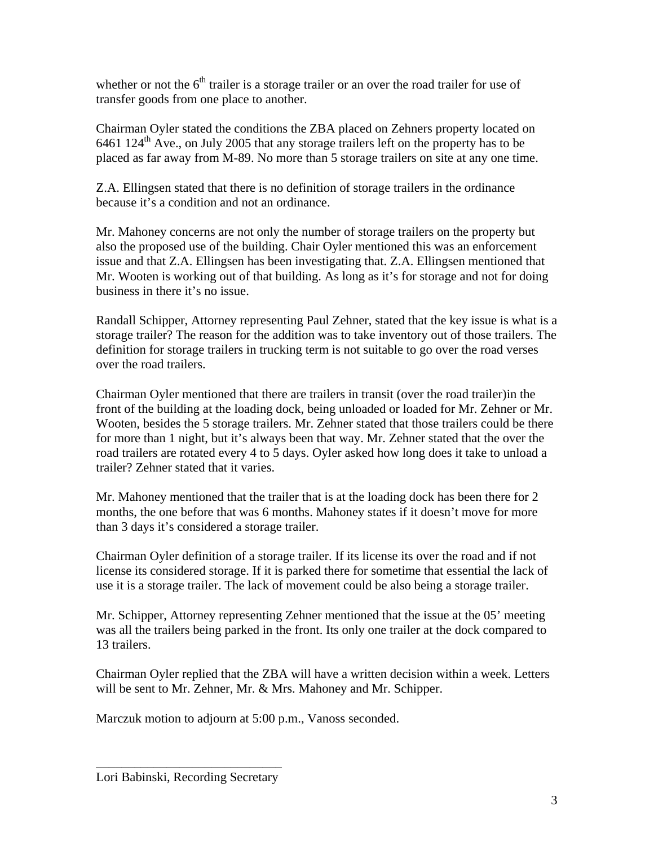whether or not the  $6<sup>th</sup>$  trailer is a storage trailer or an over the road trailer for use of transfer goods from one place to another.

Chairman Oyler stated the conditions the ZBA placed on Zehners property located on  $6461 124<sup>th</sup>$  Ave., on July 2005 that any storage trailers left on the property has to be placed as far away from M-89. No more than 5 storage trailers on site at any one time.

Z.A. Ellingsen stated that there is no definition of storage trailers in the ordinance because it's a condition and not an ordinance.

Mr. Mahoney concerns are not only the number of storage trailers on the property but also the proposed use of the building. Chair Oyler mentioned this was an enforcement issue and that Z.A. Ellingsen has been investigating that. Z.A. Ellingsen mentioned that Mr. Wooten is working out of that building. As long as it's for storage and not for doing business in there it's no issue.

Randall Schipper, Attorney representing Paul Zehner, stated that the key issue is what is a storage trailer? The reason for the addition was to take inventory out of those trailers. The definition for storage trailers in trucking term is not suitable to go over the road verses over the road trailers.

Chairman Oyler mentioned that there are trailers in transit (over the road trailer)in the front of the building at the loading dock, being unloaded or loaded for Mr. Zehner or Mr. Wooten, besides the 5 storage trailers. Mr. Zehner stated that those trailers could be there for more than 1 night, but it's always been that way. Mr. Zehner stated that the over the road trailers are rotated every 4 to 5 days. Oyler asked how long does it take to unload a trailer? Zehner stated that it varies.

Mr. Mahoney mentioned that the trailer that is at the loading dock has been there for 2 months, the one before that was 6 months. Mahoney states if it doesn't move for more than 3 days it's considered a storage trailer.

Chairman Oyler definition of a storage trailer. If its license its over the road and if not license its considered storage. If it is parked there for sometime that essential the lack of use it is a storage trailer. The lack of movement could be also being a storage trailer.

Mr. Schipper, Attorney representing Zehner mentioned that the issue at the 05' meeting was all the trailers being parked in the front. Its only one trailer at the dock compared to 13 trailers.

Chairman Oyler replied that the ZBA will have a written decision within a week. Letters will be sent to Mr. Zehner, Mr. & Mrs. Mahoney and Mr. Schipper.

Marczuk motion to adjourn at 5:00 p.m., Vanoss seconded.